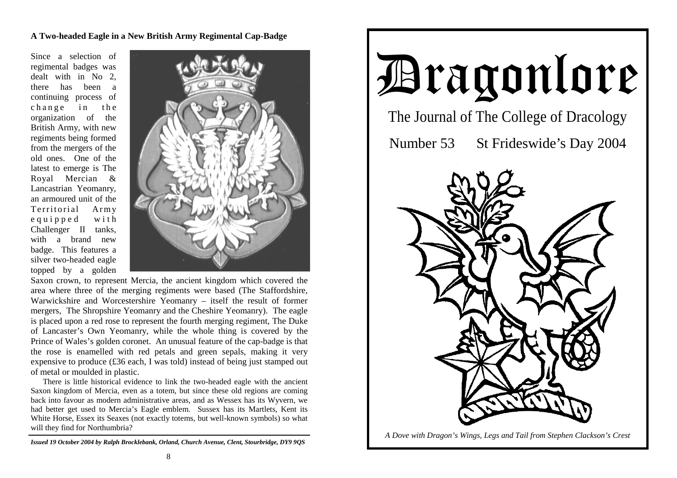**A Two-headed Eagle in a New British Army Regimental Cap-Badge**

Since a selection of regimental badges was dealt with in No 2, there has been a continuing process of change in the organization of the British Army, with new regiments being formed from the mergers of the old ones. One of the latest to emerge is The Royal Mercian & Lancastrian Yeomanry, an armoured unit of the Territorial Army e quipped with Challenger II tanks, with a brand new badge. This features a silver two-headed eagle topped by a golden



Saxon crown, to represent Mercia, the ancient kingdom which covered the area where three of the merging regiments were based (The Staffordshire, Warwickshire and Worcestershire Yeomanry – itself the result of former mergers, The Shropshire Yeomanry and the Cheshire Yeomanry). The eagle is placed upon a red rose to represent the fourth merging regiment, The Duke of Lancaster's Own Yeomanry, while the whole thing is covered by the Prince of Wales's golden coronet. An unusual feature of the cap-badge is that the rose is enamelled with red petals and green sepals, making it very expensive to produce (£36 each, I was told) instead of being just stamped out of metal or moulded in plastic.

There is little historical evidence to link the two-headed eagle with the ancient Saxon kingdom of Mercia, even as a totem, but since these old regions are coming back into favour as modern administrative areas, and as Wessex has its Wyvern, we had better get used to Mercia's Eagle emblem. Sussex has its Martlets, Kent its White Horse, Essex its Seaxes (not exactly totems, but well-known symbols) so what will they find for Northumbria?

*Issued 19 October 2004 by Ralph Brocklebank, Orland, Church Avenue, Clent, Stourbridge, DY9 9QS*



*A Dove with Dragon's Wings, Legs and Tail from Stephen Clackson's Crest*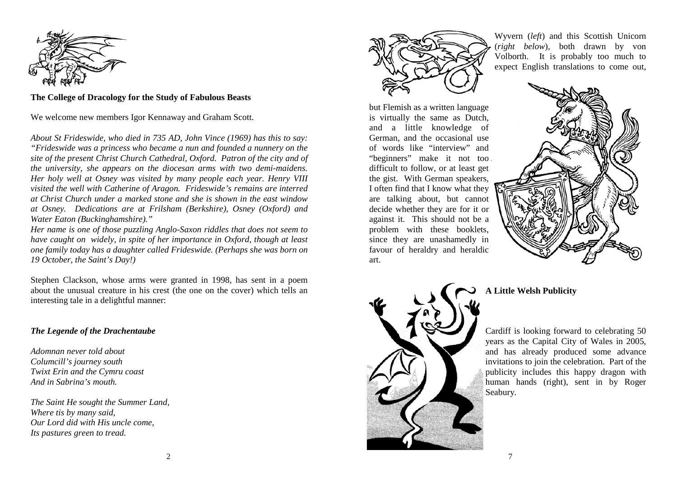

**The College of Dracology for the Study of Fabulous Beasts** 

We welcome new members Igor Kennaway and Graham Scott.

*About St Frideswide, who died in 735 AD, John Vince (1969) has this to say: "Frideswide was a princess who became a nun and founded a nunnery on the site of the present Christ Church Cathedral, Oxford. Patron of the city and of the university, she appears on the diocesan arms with two demi-maidens. Her holy well at Osney was visited by many people each year. Henry VIII visited the well with Catherine of Aragon. Frideswide's remains are interred at Christ Church under a marked stone and she is shown in the east window at Osney. Dedications are at Frilsham (Berkshire), Osney (Oxford) and Water Eaton (Buckinghamshire)."* 

*Her name is one of those puzzling Anglo-Saxon riddles that does not seem to have caught on widely, in spite of her importance in Oxford, though at least one family today has a daughter called Frideswide. (Perhaps she was born on 19 October, the Saint's Day!)* 

Stephen Clackson, whose arms were granted in 1998, has sent in a poem about the unusual creature in his crest (the one on the cover) which tells an interesting tale in a delightful manner:

## *The Legende of the Drachentaube*

*Adomnan never told about Columcill's journey south Twixt Erin and the Cymru coast And in Sabrina's mouth.* 

*The Saint He sought the Summer Land, Where tis by many said, Our Lord did with His uncle come, Its pastures green to tread.* 



Wyvern (*left*) and this Scottish Unicorn (*right below*), both drawn by von Volborth. It is probably too much to expect English translations to come out,

but Flemish as a written language is virtually the same as Dutch, and a little knowledge of German, and the occasional use of words like "interview" and "beginners" make it not too difficult to follow, or at least get the gist. With German speakers, I often find that I know what they are talking about, but cannot decide whether they are for it or against it. This should not be a problem with these booklets, since they are unashamedly in favour of heraldry and heraldic art.





# **A Little Welsh Publicity**

Cardiff is looking forward to celebrating 50 years as the Capital City of Wales in 2005, and has already produced some advance invitations to join the celebration. Part of the publicity includes this happy dragon with human hands (right), sent in by Roger Seabury.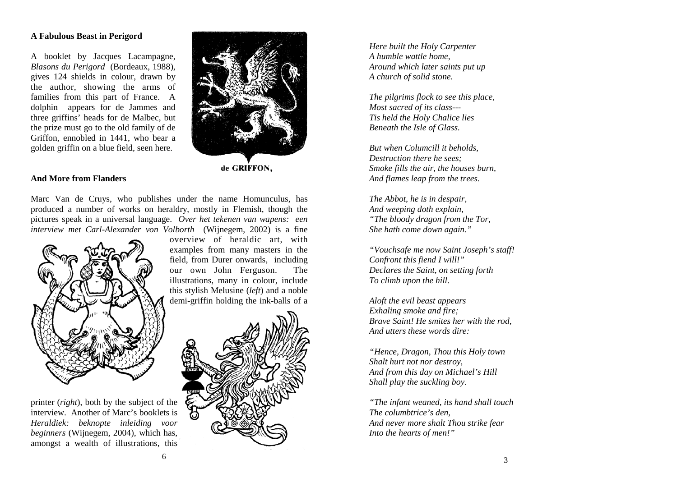#### **A Fabulous Beast in Perigord**

A booklet by Jacques Lacampagne, *Blasons du Perigord* (Bordeaux, 1988), gives 124 shields in colour, drawn by the author, showing the arms of families from this part of France. A dolphin appears for de Jammes and three griffins' heads for de Malbec, but the prize must go to the old family of de Griffon, ennobled in 1441, who bear a golden griffin on a blue field, seen here.



#### **And More from Flanders**

Marc Van de Cruys, who publishes under the name Homunculus, has produced a number of works on heraldry, mostly in Flemish, though the pictures speak in a universal language. *Over het tekenen van wapens: een interview met Carl-Alexander von Volborth* (Wijnegem, 2002) is a fine overview of heraldic art, with



printer (*right*), both by the subject of the interview. Another of Marc's booklets is *Heraldiek: beknopte inleiding voor beginners* (Wijnegem, 2004), which has, amongst a wealth of illustrations, this



demi-griffin holding the ink-balls of a

*Here built the Holy Carpenter A humble wattle home, Around which later saints put up A church of solid stone.* 

*The pilgrims flock to see this place, Most sacred of its class--- Tis held the Holy Chalice lies Beneath the Isle of Glass.* 

*But when Columcill it beholds, Destruction there he sees; Smoke fills the air, the houses burn, And flames leap from the trees.* 

*The Abbot, he is in despair, And weeping doth explain, "The bloody dragon from the Tor, She hath come down again."* 

*"Vouchsafe me now Saint Joseph's staff! Confront this fiend I will!" Declares the Saint, on setting forth To climb upon the hill.* 

*Aloft the evil beast appears Exhaling smoke and fire; Brave Saint! He smites her with the rod, And utters these words dire:* 

*"Hence, Dragon, Thou this Holy town Shalt hurt not nor destroy, And from this day on Michael's Hill Shall play the suckling boy.* 

*"The infant weaned, its hand shall touch The columbtrice's den, And never more shalt Thou strike fear Into the hearts of men!"*